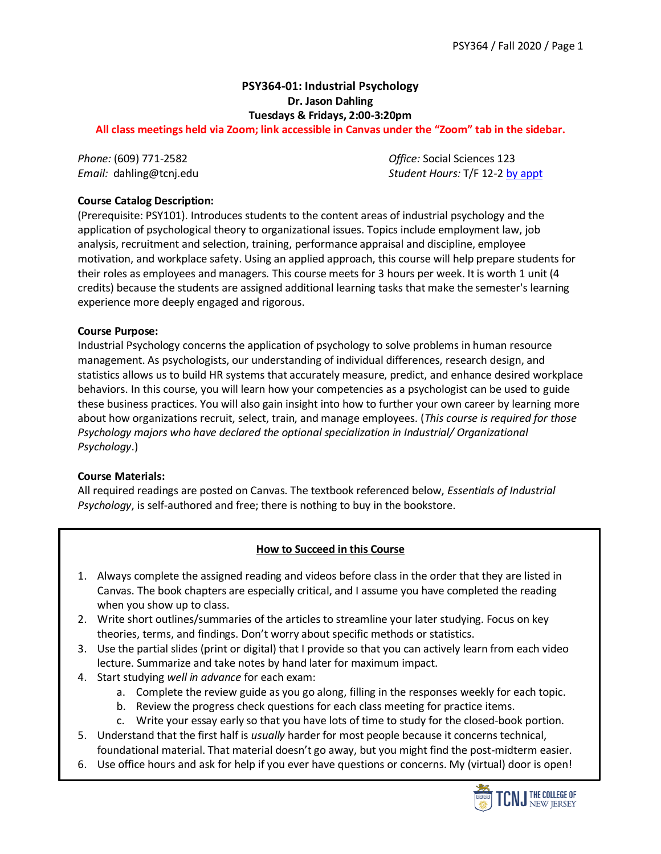# **PSY364-01: Industrial Psychology Dr. Jason Dahling Tuesdays & Fridays, 2:00-3:20pm**

**All class meetings held via Zoom; link accessible in Canvas under the "Zoom" tab in the sidebar.**

*Phone:* (609) 771-2582 *Office:* Social Sciences 123 *Email:* dahling@tcnj.edu *Student Hours:* T/F 12-[2 by appt](https://calendar.google.com/calendar/selfsched?sstoken=UUxuajFYQWlBcWVqfGRlZmF1bHR8NzFhZmI3YzdhNDdiMTU3MTdjMjc3Nzc4OWE1NWY0ZmU)

## **Course Catalog Description:**

(Prerequisite: PSY101). Introduces students to the content areas of industrial psychology and the application of psychological theory to organizational issues. Topics include employment law, job analysis, recruitment and selection, training, performance appraisal and discipline, employee motivation, and workplace safety. Using an applied approach, this course will help prepare students for their roles as employees and managers. This course meets for 3 hours per week. It is worth 1 unit (4 credits) because the students are assigned additional learning tasks that make the semester's learning experience more deeply engaged and rigorous.

### **Course Purpose:**

Industrial Psychology concerns the application of psychology to solve problems in human resource management. As psychologists, our understanding of individual differences, research design, and statistics allows us to build HR systems that accurately measure, predict, and enhance desired workplace behaviors. In this course, you will learn how your competencies as a psychologist can be used to guide these business practices. You will also gain insight into how to further your own career by learning more about how organizations recruit, select, train, and manage employees. (*This course is required for those Psychology majors who have declared the optional specialization in Industrial/ Organizational Psychology*.)

### **Course Materials:**

All required readings are posted on Canvas. The textbook referenced below, *Essentials of Industrial Psychology*, is self-authored and free; there is nothing to buy in the bookstore.

## **How to Succeed in this Course**

- 1. Always complete the assigned reading and videos before class in the order that they are listed in Canvas. The book chapters are especially critical, and I assume you have completed the reading when you show up to class.
- 2. Write short outlines/summaries of the articles to streamline your later studying. Focus on key theories, terms, and findings. Don't worry about specific methods or statistics.
- 3. Use the partial slides (print or digital) that I provide so that you can actively learn from each video lecture. Summarize and take notes by hand later for maximum impact.
- 4. Start studying *well in advance* for each exam:
	- a. Complete the review guide as you go along, filling in the responses weekly for each topic.
	- b. Review the progress check questions for each class meeting for practice items.
	- c. Write your essay early so that you have lots of time to study for the closed-book portion.
- 5. Understand that the first half is *usually* harder for most people because it concerns technical, foundational material. That material doesn't go away, but you might find the post-midterm easier.
- 6. Use office hours and ask for help if you ever have questions or concerns. My (virtual) door is open!

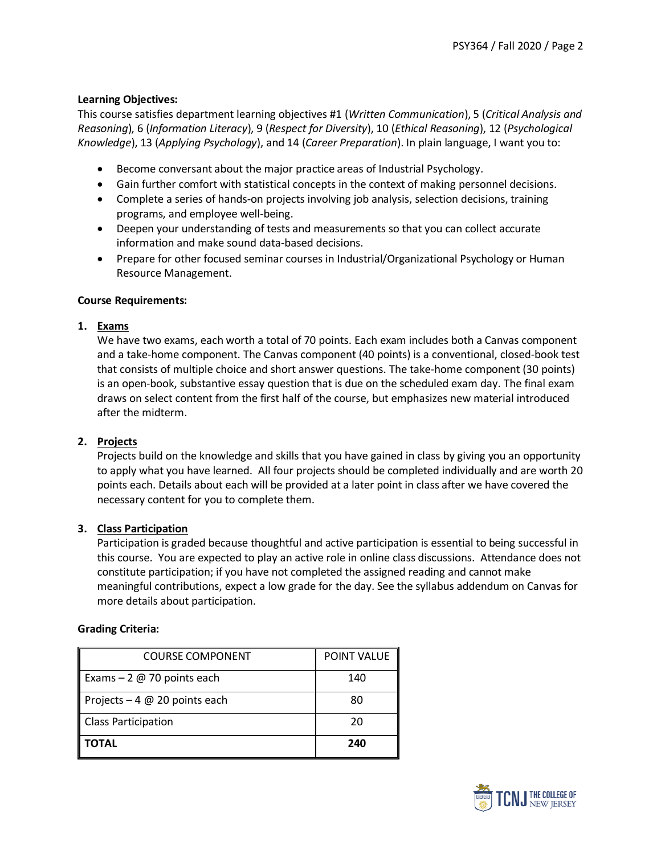## **Learning Objectives:**

This course satisfies department learning objectives #1 (*Written Communication*), 5 (*Critical Analysis and Reasoning*), 6 (*Information Literacy*), 9 (*Respect for Diversity*), 10 (*Ethical Reasoning*), 12 (*Psychological Knowledge*), 13 (*Applying Psychology*), and 14 (*Career Preparation*). In plain language, I want you to:

- Become conversant about the major practice areas of Industrial Psychology.
- Gain further comfort with statistical concepts in the context of making personnel decisions.
- Complete a series of hands-on projects involving job analysis, selection decisions, training programs, and employee well-being.
- Deepen your understanding of tests and measurements so that you can collect accurate information and make sound data-based decisions.
- Prepare for other focused seminar courses in Industrial/Organizational Psychology or Human Resource Management.

### **Course Requirements:**

### **1. Exams**

We have two exams, each worth a total of 70 points. Each exam includes both a Canvas component and a take-home component. The Canvas component (40 points) is a conventional, closed-book test that consists of multiple choice and short answer questions. The take-home component (30 points) is an open-book, substantive essay question that is due on the scheduled exam day. The final exam draws on select content from the first half of the course, but emphasizes new material introduced after the midterm.

### **2. Projects**

Projects build on the knowledge and skills that you have gained in class by giving you an opportunity to apply what you have learned. All four projects should be completed individually and are worth 20 points each. Details about each will be provided at a later point in class after we have covered the necessary content for you to complete them.

### **3. Class Participation**

Participation is graded because thoughtful and active participation is essential to being successful in this course. You are expected to play an active role in online class discussions. Attendance does not constitute participation; if you have not completed the assigned reading and cannot make meaningful contributions, expect a low grade for the day. See the syllabus addendum on Canvas for more details about participation.

### **Grading Criteria:**

| COURSE COMPONENT               | <b>POINT VALUE</b> |
|--------------------------------|--------------------|
| Exams $-2$ @ 70 points each    | 140                |
| Projects $-4$ @ 20 points each | 80                 |
| <b>Class Participation</b>     | 20                 |
| ΤΟΤΑL                          | 240                |

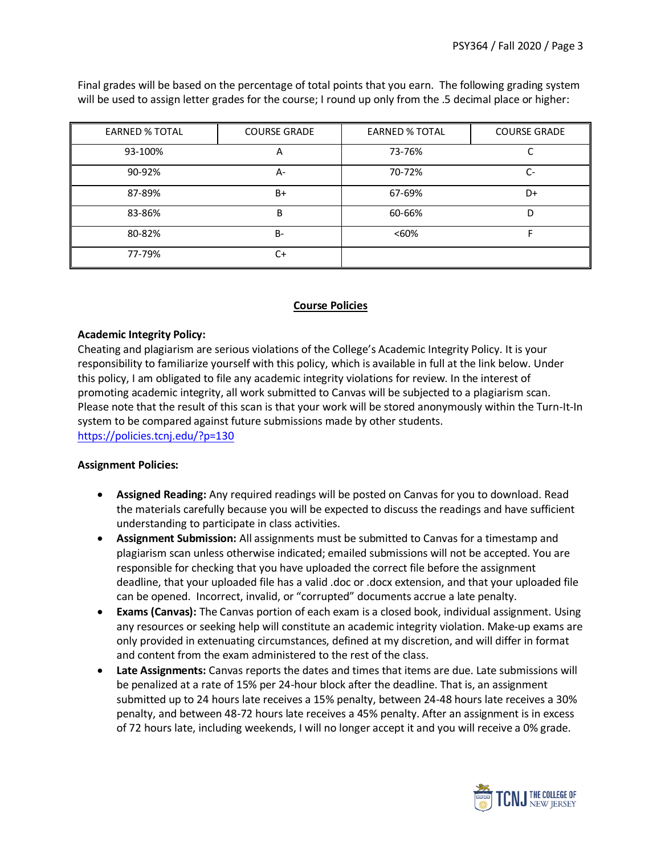| <b>EARNED % TOTAL</b> | <b>COURSE GRADE</b> | <b>EARNED % TOTAL</b> | <b>COURSE GRADE</b> |
|-----------------------|---------------------|-----------------------|---------------------|
| 93-100%               | A                   | 73-76%                |                     |
| 90-92%                | А-                  | 70-72%                | $C-$                |
| 87-89%                | B+                  | 67-69%                | D+                  |
| 83-86%                | B                   | 60-66%                |                     |
| 80-82%                | $B -$               | < 60%                 |                     |
| 77-79%                | C+                  |                       |                     |

Final grades will be based on the percentage of total points that you earn. The following grading system will be used to assign letter grades for the course; I round up only from the .5 decimal place or higher:

## **Course Policies**

### **Academic Integrity Policy:**

Cheating and plagiarism are serious violations of the College's Academic Integrity Policy. It is your responsibility to familiarize yourself with this policy, which is available in full at the link below. Under this policy, I am obligated to file any academic integrity violations for review. In the interest of promoting academic integrity, all work submitted to Canvas will be subjected to a plagiarism scan. Please note that the result of this scan is that your work will be stored anonymously within the Turn-It-In system to be compared against future submissions made by other students. <https://policies.tcnj.edu/?p=130>

### **Assignment Policies:**

- **Assigned Reading:** Any required readings will be posted on Canvas for you to download. Read the materials carefully because you will be expected to discuss the readings and have sufficient understanding to participate in class activities.
- **Assignment Submission:** All assignments must be submitted to Canvas for a timestamp and plagiarism scan unless otherwise indicated; emailed submissions will not be accepted. You are responsible for checking that you have uploaded the correct file before the assignment deadline, that your uploaded file has a valid .doc or .docx extension, and that your uploaded file can be opened. Incorrect, invalid, or "corrupted" documents accrue a late penalty.
- **Exams (Canvas):** The Canvas portion of each exam is a closed book, individual assignment. Using any resources or seeking help will constitute an academic integrity violation. Make-up exams are only provided in extenuating circumstances, defined at my discretion, and will differ in format and content from the exam administered to the rest of the class.
- **Late Assignments:** Canvas reports the dates and times that items are due. Late submissions will be penalized at a rate of 15% per 24-hour block after the deadline. That is, an assignment submitted up to 24 hours late receives a 15% penalty, between 24-48 hours late receives a 30% penalty, and between 48-72 hours late receives a 45% penalty. After an assignment is in excess of 72 hours late, including weekends, I will no longer accept it and you will receive a 0% grade.

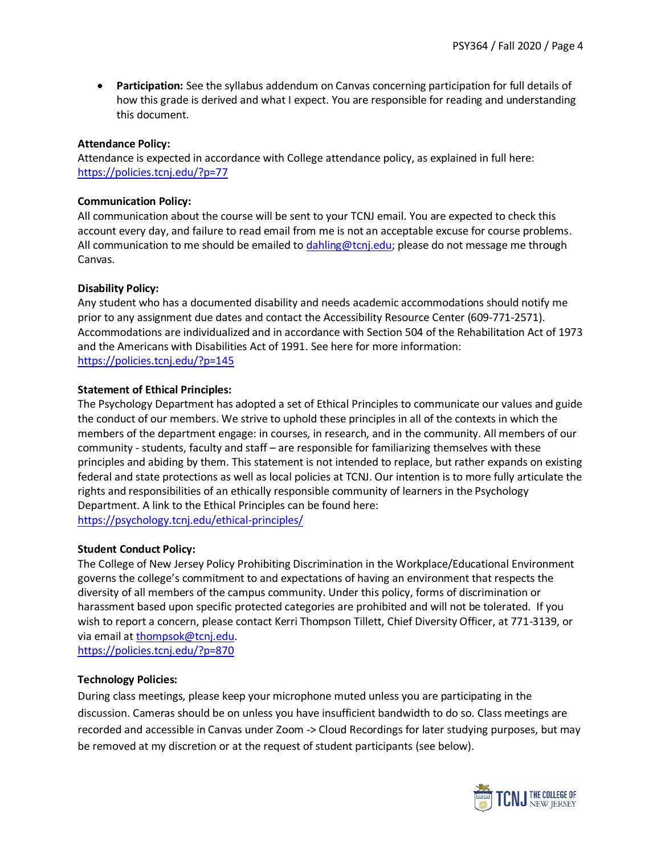• **Participation:** See the syllabus addendum on Canvas concerning participation for full details of how this grade is derived and what I expect. You are responsible for reading and understanding this document.

#### **Attendance Policy:**

Attendance is expected in accordance with College attendance policy, as explained in full here: <https://policies.tcnj.edu/?p=77>

#### **Communication Policy:**

All communication about the course will be sent to your TCNJ email. You are expected to check this account every day, and failure to read email from me is not an acceptable excuse for course problems. All communication to me should be emailed to  $\frac{dahling@tcnj.edu}{dahling@tcnj.edu}$  please do not message me through Canvas.

#### **Disability Policy:**

Any student who has a documented disability and needs academic accommodations should notify me prior to any assignment due dates and contact the Accessibility Resource Center (609-771-2571). Accommodations are individualized and in accordance with Section 504 of the Rehabilitation Act of 1973 and the Americans with Disabilities Act of 1991. See here for more information: <https://policies.tcnj.edu/?p=145>

#### **Statement of Ethical Principles:**

The Psychology Department has adopted a set of Ethical Principles to communicate our values and guide the conduct of our members. We strive to uphold these principles in all of the contexts in which the members of the department engage: in courses, in research, and in the community. All members of our community - students, faculty and staff – are responsible for familiarizing themselves with these principles and abiding by them. This statement is not intended to replace, but rather expands on existing federal and state protections as well as local policies at TCNJ. Our intention is to more fully articulate the rights and responsibilities of an ethically responsible community of learners in the Psychology Department. A link to the Ethical Principles can be found here: <https://psychology.tcnj.edu/ethical-principles/>

#### **Student Conduct Policy:**

The College of New Jersey Policy Prohibiting Discrimination in the Workplace/Educational Environment governs the college's commitment to and expectations of having an environment that respects the diversity of all members of the campus community. Under this policy, forms of discrimination or harassment based upon specific protected categories are prohibited and will not be tolerated. If you wish to report a concern, please contact Kerri Thompson Tillett, Chief Diversity Officer, at 771-3139, or via email at [thompsok@tcnj.edu.](mailto:thompsok@tcnj.edu)

<https://policies.tcnj.edu/?p=870>

### **Technology Policies:**

During class meetings, please keep your microphone muted unless you are participating in the discussion. Cameras should be on unless you have insufficient bandwidth to do so. Class meetings are recorded and accessible in Canvas under Zoom -> Cloud Recordings for later studying purposes, but may be removed at my discretion or at the request of student participants (see below).

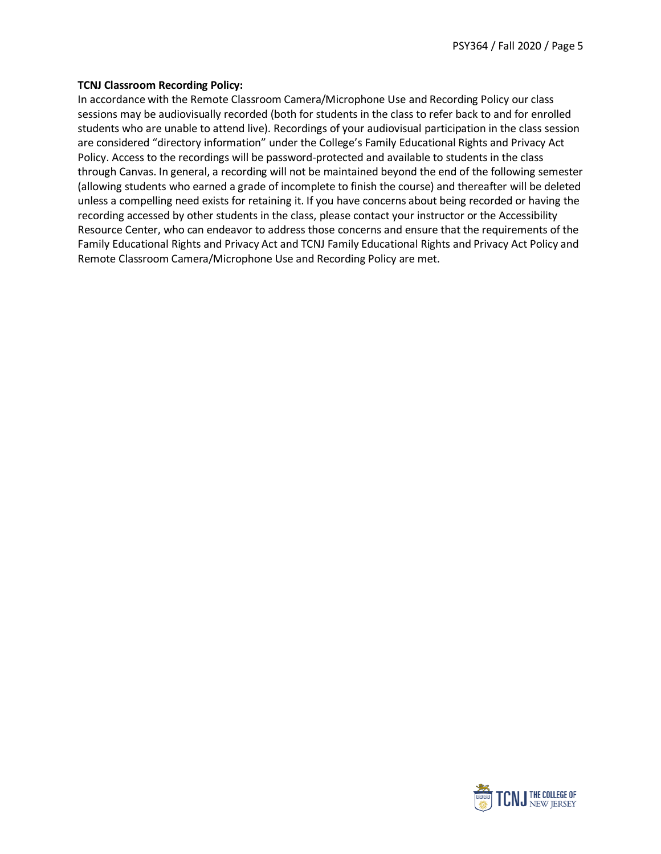### **TCNJ Classroom Recording Policy:**

In accordance with the Remote Classroom Camera/Microphone Use and Recording Policy our class sessions may be audiovisually recorded (both for students in the class to refer back to and for enrolled students who are unable to attend live). Recordings of your audiovisual participation in the class session are considered "directory information" under the College's Family Educational Rights and Privacy Act Policy. Access to the recordings will be password-protected and available to students in the class through Canvas. In general, a recording will not be maintained beyond the end of the following semester (allowing students who earned a grade of incomplete to finish the course) and thereafter will be deleted unless a compelling need exists for retaining it. If you have concerns about being recorded or having the recording accessed by other students in the class, please contact your instructor or the Accessibility Resource Center, who can endeavor to address those concerns and ensure that the requirements of the Family Educational Rights and Privacy Act and TCNJ Family Educational Rights and Privacy Act Policy and Remote Classroom Camera/Microphone Use and Recording Policy are met.

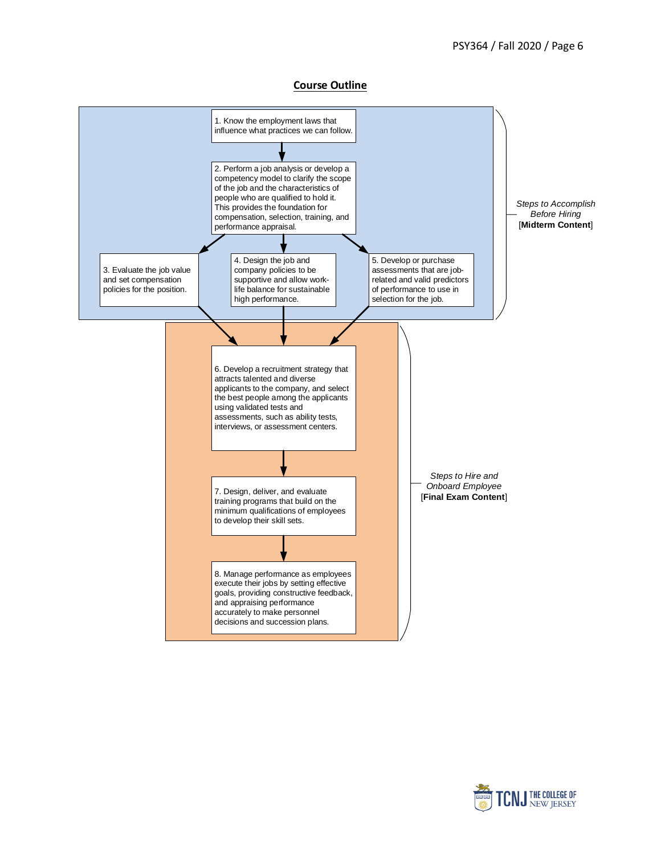**Course Outline**



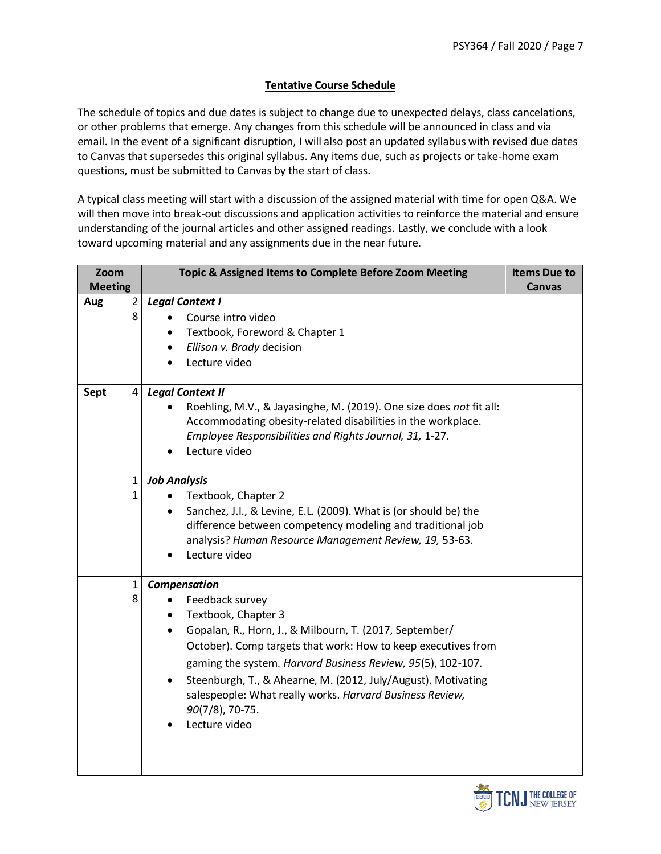## **Tentative Course Schedule**

The schedule of topics and due dates is subject to change due to unexpected delays, class cancelations, or other problems that emerge. Any changes from this schedule will be announced in class and via email. In the event of a significant disruption, I will also post an updated syllabus with revised due dates to Canvas that supersedes this original syllabus. Any items due, such as projects or take-home exam questions, must be submitted to Canvas by the start of class.

A typical class meeting will start with a discussion of the assigned material with time for open Q&A. We will then move into break-out discussions and application activities to reinforce the material and ensure understanding of the journal articles and other assigned readings. Lastly, we conclude with a look toward upcoming material and any assignments due in the near future.

| Zoom<br><b>Meeting</b>     | Topic & Assigned Items to Complete Before Zoom Meeting                                                                                                                                                                                                                                                                                                                                                                                                    | <b>Items Due to</b><br><b>Canvas</b> |
|----------------------------|-----------------------------------------------------------------------------------------------------------------------------------------------------------------------------------------------------------------------------------------------------------------------------------------------------------------------------------------------------------------------------------------------------------------------------------------------------------|--------------------------------------|
| $\overline{2}$<br>Aug<br>8 | <b>Legal Context I</b><br>Course intro video<br>Textbook, Foreword & Chapter 1<br>٠<br>Ellison v. Brady decision<br>$\bullet$<br>Lecture video                                                                                                                                                                                                                                                                                                            |                                      |
| 4<br>Sept                  | <b>Legal Context II</b><br>Roehling, M.V., & Jayasinghe, M. (2019). One size does not fit all:<br>Accommodating obesity-related disabilities in the workplace.<br>Employee Responsibilities and Rights Journal, 31, 1-27.<br>Lecture video                                                                                                                                                                                                                |                                      |
| $\mathbf{1}$<br>1          | <b>Job Analysis</b><br>Textbook, Chapter 2<br>Sanchez, J.I., & Levine, E.L. (2009). What is (or should be) the<br>difference between competency modeling and traditional job<br>analysis? Human Resource Management Review, 19, 53-63.<br>Lecture video                                                                                                                                                                                                   |                                      |
| 1<br>8                     | Compensation<br>Feedback survey<br>$\bullet$<br>Textbook, Chapter 3<br>$\bullet$<br>Gopalan, R., Horn, J., & Milbourn, T. (2017, September/<br>$\bullet$<br>October). Comp targets that work: How to keep executives from<br>gaming the system. Harvard Business Review, 95(5), 102-107.<br>Steenburgh, T., & Ahearne, M. (2012, July/August). Motivating<br>salespeople: What really works. Harvard Business Review,<br>90(7/8), 70-75.<br>Lecture video |                                      |

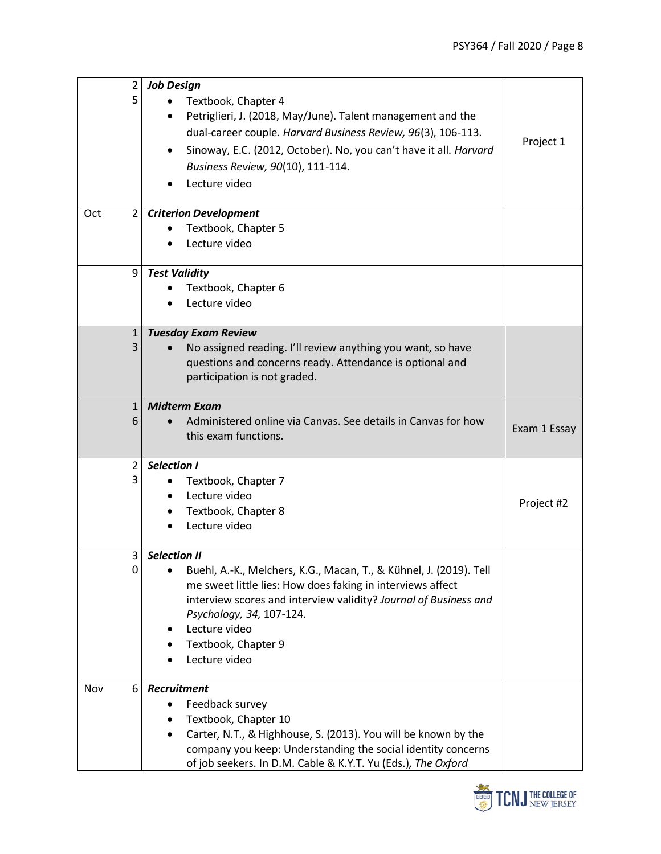| $\overline{2}$<br>5   | <b>Job Design</b><br>Textbook, Chapter 4<br>Petriglieri, J. (2018, May/June). Talent management and the<br>dual-career couple. Harvard Business Review, 96(3), 106-113.<br>Sinoway, E.C. (2012, October). No, you can't have it all. Harvard<br>Business Review, 90(10), 111-114.<br>Lecture video               | Project 1    |
|-----------------------|------------------------------------------------------------------------------------------------------------------------------------------------------------------------------------------------------------------------------------------------------------------------------------------------------------------|--------------|
| $\overline{2}$<br>Oct | <b>Criterion Development</b><br>Textbook, Chapter 5<br>Lecture video                                                                                                                                                                                                                                             |              |
| 9                     | <b>Test Validity</b><br>Textbook, Chapter 6<br>Lecture video                                                                                                                                                                                                                                                     |              |
| $\mathbf{1}$<br>3     | <b>Tuesday Exam Review</b><br>No assigned reading. I'll review anything you want, so have<br>questions and concerns ready. Attendance is optional and<br>participation is not graded.                                                                                                                            |              |
| $\mathbf{1}$<br>6     | <b>Midterm Exam</b><br>Administered online via Canvas. See details in Canvas for how<br>this exam functions.                                                                                                                                                                                                     | Exam 1 Essay |
| $\overline{2}$<br>3   | <b>Selection I</b><br>Textbook, Chapter 7<br>Lecture video<br>Textbook, Chapter 8<br>Lecture video                                                                                                                                                                                                               | Project #2   |
| 3<br>0                | <b>Selection II</b><br>Buehl, A.-K., Melchers, K.G., Macan, T., & Kühnel, J. (2019). Tell<br>me sweet little lies: How does faking in interviews affect<br>interview scores and interview validity? Journal of Business and<br>Psychology, 34, 107-124.<br>Lecture video<br>Textbook, Chapter 9<br>Lecture video |              |
| Nov<br>6              | Recruitment<br>Feedback survey<br>$\bullet$<br>Textbook, Chapter 10<br>Carter, N.T., & Highhouse, S. (2013). You will be known by the<br>company you keep: Understanding the social identity concerns<br>of job seekers. In D.M. Cable & K.Y.T. Yu (Eds.), The Oxford                                            |              |